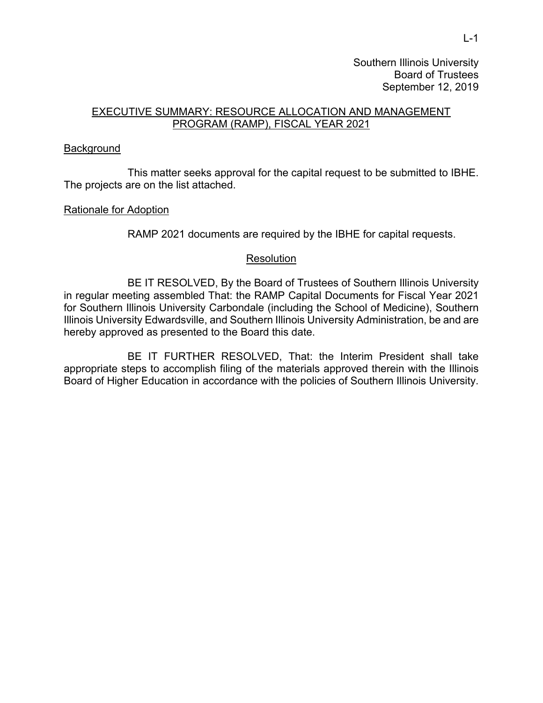Southern Illinois University Board of Trustees September 12, 2019

# EXECUTIVE SUMMARY: RESOURCE ALLOCATION AND MANAGEMENT PROGRAM (RAMP), FISCAL YEAR 2021

### **Background**

 This matter seeks approval for the capital request to be submitted to IBHE. The projects are on the list attached.

## Rationale for Adoption

RAMP 2021 documents are required by the IBHE for capital requests.

#### **Resolution**

 BE IT RESOLVED, By the Board of Trustees of Southern Illinois University in regular meeting assembled That: the RAMP Capital Documents for Fiscal Year 2021 for Southern Illinois University Carbondale (including the School of Medicine), Southern Illinois University Edwardsville, and Southern Illinois University Administration, be and are hereby approved as presented to the Board this date.

 BE IT FURTHER RESOLVED, That: the Interim President shall take appropriate steps to accomplish filing of the materials approved therein with the Illinois Board of Higher Education in accordance with the policies of Southern Illinois University.